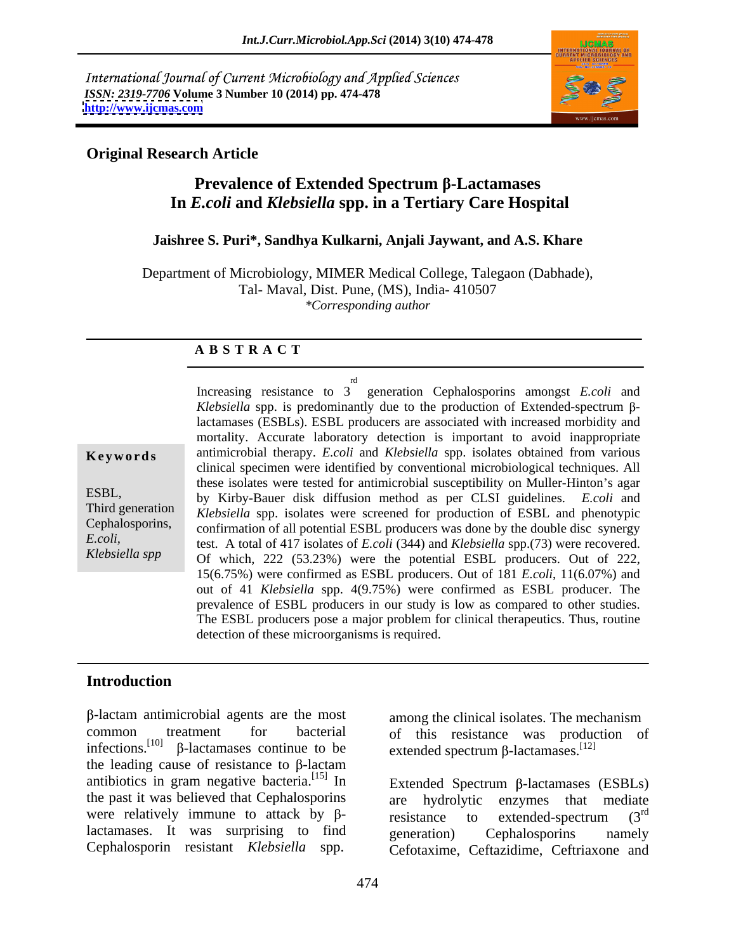International Journal of Current Microbiology and Applied Sciences *ISSN: 2319-7706* **Volume 3 Number 10 (2014) pp. 474-478 <http://www.ijcmas.com>**



## **Original Research Article**

## **Prevalence of Extended Spectrum -Lactamases In** *E.coli* **and** *Klebsiella* **spp. in a Tertiary Care Hospital**

### **Jaishree S. Puri\*, Sandhya Kulkarni, Anjali Jaywant, and A.S. Khare**

Department of Microbiology, MIMER Medical College, Talegaon (Dabhade), Tal- Maval, Dist. Pune, (MS), India- 410507 *\*Corresponding author* 

### **A B S T R A C T**

**Keywords** antimicrobial therapy. *E.coli* and *Klebsiella* spp. isolates obtained from various ESBL, by Kirby-Bauer disk diffusion method as per CLSI guidelines. *E.coli* and Third generation *Klebsiella* spp. isolates were screened for production of ESBL and phenotypic Cephalosporins, confirmation of all potential ESBL producers was done by the double disc synergy *E.coli,* test. A total of 417 isolates of *E.coli* (344) and *Klebsiella* spp.(73) were recovered. *Klebsiella spp* Of which, 222 (53.23%) were the potential ESBL producers. Out of 222, Increasing resistance to 3 generation Cephalosporins amongst *E.coli* and rd and a strong state of the state of the state of the state of the state of the state of the state of the state of the state of the state of the state of the state of the state of the state of the state of the state of th  $Klebsiella$  spp. is predominantly due to the production of Extended-spectrum  $\beta$ lactamases (ESBLs). ESBL producers are associated with increased morbidity and mortality. Accurate laboratory detection is important to avoid inappropriate clinical specimen were identified by conventional microbiological techniques. All these isolates were tested for antimicrobial susceptibility on Muller-Hinton's agar 15(6.75%) were confirmed as ESBL producers. Out of181 *E.coli*, 11(6.07%) and out of 41 *Klebsiella* spp. 4(9.75%) were confirmed as ESBL producer. The prevalence of ESBL producers in our study is low as compared to other studies. The ESBL producers pose a major problem for clinical therapeutics. Thus, routine detection of these microorganisms is required.

## **Introduction**

-lactam antimicrobial agents are the most common treatment for bacterial of this resistance was production of infections.<sup>[10]</sup>  $\beta$ -lactamases continue to be extended spectrum  $\beta$ -lactamases.<sup>[12]</sup> the leading cause of resistance to  $\beta$ -lactam antibiotics in gram negative bacteria. $^{[15]}$  In the past it was believed that Cephalosporins are hydrolytic enzymes that mediate were relatively immune to attack by  $\beta$ -<br>resistance to extended-spectrum  $(3^{rd}$ lactamases. It was surprising to find generation) Cephalosporins namely

among the clinical isolates. The mechanism extended spectrum  $\beta$ -lactamases.<sup>[12]</sup>

In Extended Spectrum  $\beta$ -lactamases (ESBLs) Cephalosporin resistant *Klebsiella* spp. Cefotaxime, Ceftazidime, Ceftriaxone and are hydrolytic enzymes that mediate resistance to extended-spectrum  $(3^{rd})$ rd generation) Cephalosporins namely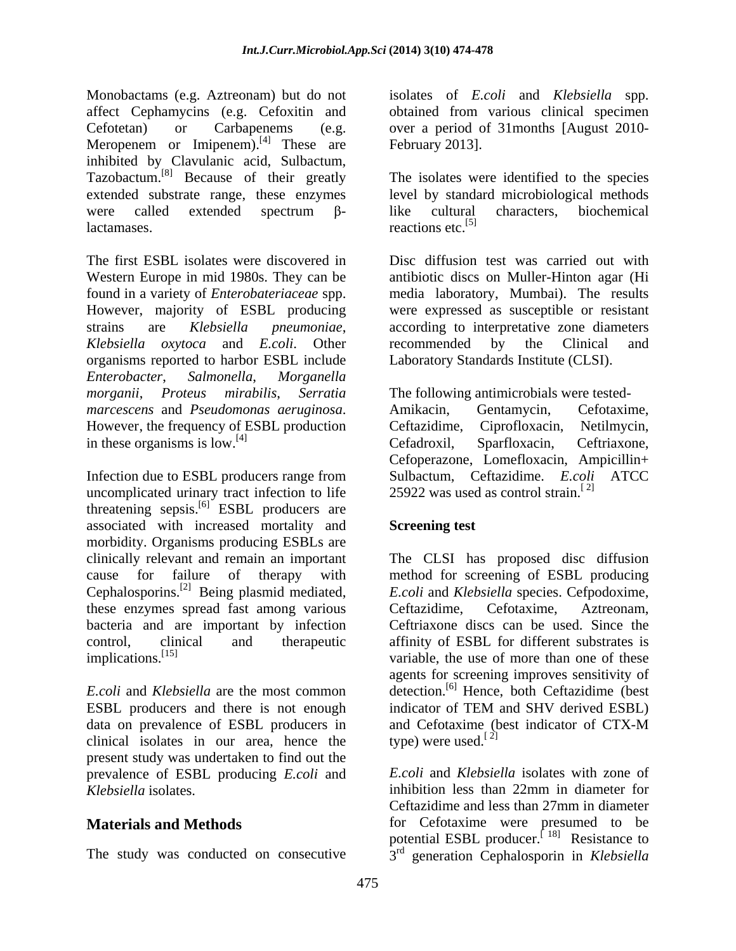Monobactams (e.g. Aztreonam) but do not isolates of *E.coli* and *Klebsiella* spp. affect Cephamycins (e.g. Cefoxitin and Cefotetan) or Carbapenems (e.g. over a period of 31months [August 2010- Meropenem or Imipenem). $^{[4]}$  These are inhibited by Clavulanic acid, Sulbactum, Tazobactum.[8] Because of their greatly extended substrate range, these enzymes level by standard microbiological methods were called extended spectrum  $\beta$ - like cultural characters, biochemical

Western Europe in mid 1980s. They can be found in a variety of *Enterobateriaceae* spp. *Klebsiella oxytoca* and *E.coli*. Other organisms reported to harbor ESBL include *Enterobacter*, *Salmonella*, *Morganella morganii*, *Proteus mirabilis*, *Serratia*  The following antimicrobials were tested *marcescens* and *Pseudomonas aeruginosa*. Amikacin, Gentamycin, Cefotaxime,<br>However, the frequency of ESBL production Ceftazidime, Ciprofloxacin, Netilmycin, in these organisms is low.<sup>[4]</sup> Cefadroxil, Sparfloxacin, Ceftriaxone,

Infection due to ESBL producers range from uncomplicated urinary tract infection to life threatening sepsis.<sup>[6]</sup> ESBL producers are associated with increased mortality and morbidity. Organisms producing ESBLs are clinically relevant and remain an important The CLSI has proposed disc diffusion cause for failure of therapy with method for screening of ESBL producing Cephalosporins.[2] Being plasmid mediated, these enzymes spread fast among various Ceftazidime, Cefotaxime, Aztreonam, bacteria and are important by infection Ceftriaxone discs can be used. Since the control, clinical and therapeutic affinity of ESBL for different substrates is

ESBL producers and there is not enough indicator of TEM and SHV derived ESBL) clinical isolates in our area, hence the type) were used.<sup>[2]</sup> present study was undertaken to find out the prevalence of ESBL producing *E.coli* and

obtained from various clinical specimen February 2013].

lactamases. The reactions etc.<sup>[5]</sup> The isolates were identified to the species like cultural characters, biochemical reactions etc.<sup>[5]</sup>

The first ESBL isolates were discovered in Disc diffusion test was carried out with However, majority of ESBL producing were expressed as susceptible or resistant strains are *Klebsiella pneumoniae*, according to interpretative zone diameters antibiotic discs on Muller-Hinton agar (Hi media laboratory, Mumbai). The results recommended by the Clinical and Laboratory Standards Institute (CLSI).

> Amikacin, Gentamycin, Cefotaxime, Ceftazidime, Ciprofloxacin, Netilmycin, Cefadroxil, Sparfloxacin, Ceftriaxone, Cefoperazone, Lomefloxacin, Ampicillin+ Sulbactum, Ceftazidime. *E.coli* ATCC 25922 was used as control strain.<sup>[2]</sup>

## **Screening test**

implications.<sup>[15]</sup> variable, the use of more than one of these *E.coli* and *Klebsiella* are the most common detection.<sup>[6]</sup> Hence, both Ceftazidime (best data on prevalence of ESBL producers in and Cefotaxime (best indicator of CTX-M *E.coli* and *Klebsiella* species. Cefpodoxime, Ceftazidime, Cefotaxime, Aztreonam, agents for screening improves sensitivity of indicator of TEM and SHV derived ESBL) type) were used.<sup>[2]</sup>

*Klebsiella* isolates.<br> *Klebsiella* isolates.<br> **Ceftazidime and less than 27mm in diameter**<br> **Ceftazidime and less than 27mm in diameter Materials and Methods for** Cefotaxime were presumed to be The study was conducted on consecutive  $3<sup>rd</sup>$  generation Cephalosporin in *Klebsiella E.coli* and *Klebsiella* isolates with zone of inhibition less than 22mm in diameter for Ceftazidime and less than 27mm in diameter potential ESBL producer.<sup> $[18]$ </sup> Resistance to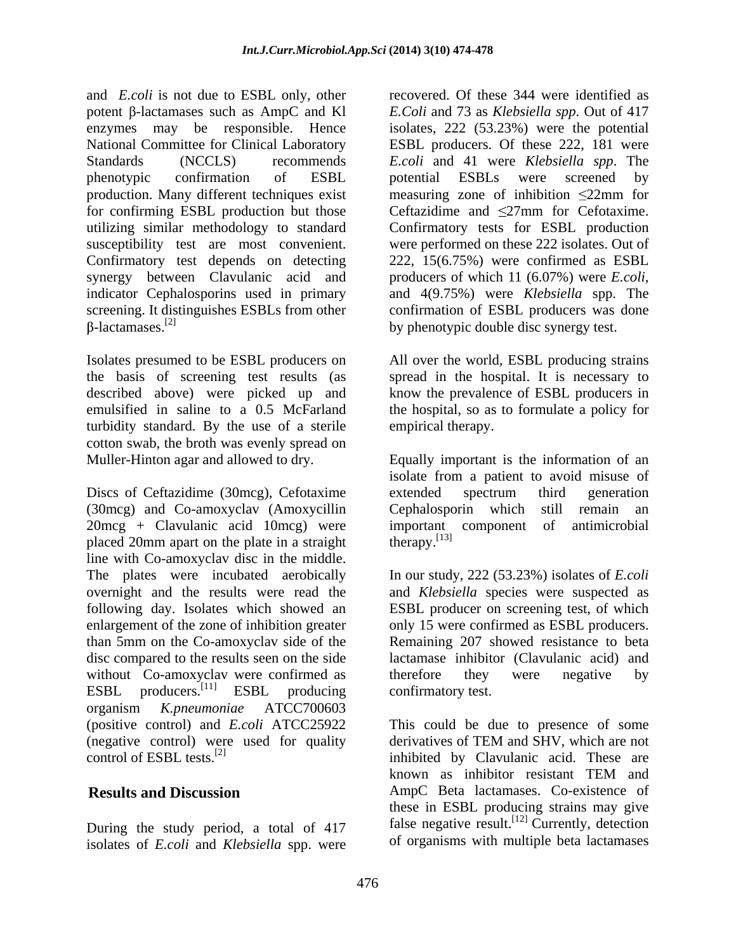and *E.coli* is not due to ESBL only, other potent  $\beta$ -lactamases such as AmpC and Kl enzymes may be responsible. Hence isolates, 222 (53.23%) were the potential National Committee for Clinical Laboratory ESBL producers. Of these 222, 181 were Standards (NCCLS) recommends *E.coli* and 41 were *Klebsiella spp*. The phenotypic confirmation of ESBL potential ESBLs were screened by production. Many different techniques exist measuring zone of inhibition 22mm for for confirming ESBL production but those utilizing similar methodology to standard Confirmatory tests for ESBL production susceptibility test are most convenient. were performed on these 222 isolates. Out of Confirmatory test depends on detecting 222, 15(6.75%) were confirmed as ESBL synergy between Clavulanic acid and producers of which 11 (6.07%) were *E.coli*, indicator Cephalosporins used in primary and 4(9.75%) were *Klebsiella* spp. The screening. It distinguishes ESBLs from other  $\beta$ -lactamases.<sup>[2]</sup> by phenotypic double disc synergy test.

described above) were picked up and turbidity standard. By the use of a sterile cotton swab, the broth was evenly spread on

Discs of Ceftazidime (30mcg), Cefotaxime extended spectrum third generation (30mcg) and Co-amoxyclav (Amoxycillin  $20 \text{mg} + \text{Clavulanic acid 10mcg}$  were important component of antimicrobial placed  $20 \text{mm}$  apart on the plate in a straight therapy.<sup>[13]</sup> placed 20mm apart on the plate in a straight line with Co-amoxyclav disc in the middle. The plates were incubated aerobically In our study, 222 (53.23%) isolates of *E.coli* overnight and the results were read the and *Klebsiella* species were suspected as following day. Isolates which showed an ESBL producer on screening test, of which enlargement of the zone of inhibition greater only 15 were confirmed as ESBL producers. than 5mm on the Co-amoxyclav side of the disc compared to the results seen on the side lactamase inhibitor (Clavulanic acid) and without Co-amoxyclav were confirmed as therefore they were negative by ESBL producers.<sup>[11]</sup> ESBL producing confirmatory test. ESBL producers.<sup>[11]</sup> ESBL producing confirmatory test. organism *K.pneumoniae* ATCC700603 (positive control) and *E.coli* ATCC25922 This could be due to presence of some (negative control) were used for quality derivatives of TEM and SHV, which are not control of ESBL tests  $^{[2]}$  are inhibited by Clavulanic acid. These are control of ESBL tests.[2] inhibited by Clavulanic acid. These are

During the study period, a total of 417 isolates of *E.coli* and *Klebsiella* spp. were recovered. Of these 344 were identified as *E.Coli* and 73 as *Klebsiella spp*. Out of 417 potential ESBLs were screened by Ceftazidime and 27mm for Cefotaxime. producers of which <sup>11</sup> (6.07%) were *E.coli*, and 4(9.75%) were *Klebsiella* spp. The by phenotypic double disc synergy test.

Isolates presumed to be ESBL producers on All over the world, ESBL producing strains the basis of screening test results (as spread in the hospital. It is necessary to emulsified in saline to a 0.5 McFarland the hospital, so as to formulate a policy for know the prevalence of ESBL producers in empirical therapy.

Muller-Hinton agar and allowed to dry. Equally important is the information of an isolate from a patient to avoid misuse of extended spectrum third generation Cephalosporin which still remain an important component  $\text{theory}$ .  $^{[13]}$ 

> Remaining 207 showed resistance to beta therefore they were negative by confirmatory test.

**Results and Discussion** AmpC Beta lactamases. Co-existence of derivatives of TEM and SHV, which are not known as inhibitor resistant TEM and these in ESBL producing strains may give false negative result.<sup>[12]</sup> Currently, detection of organisms with multiple beta lactamases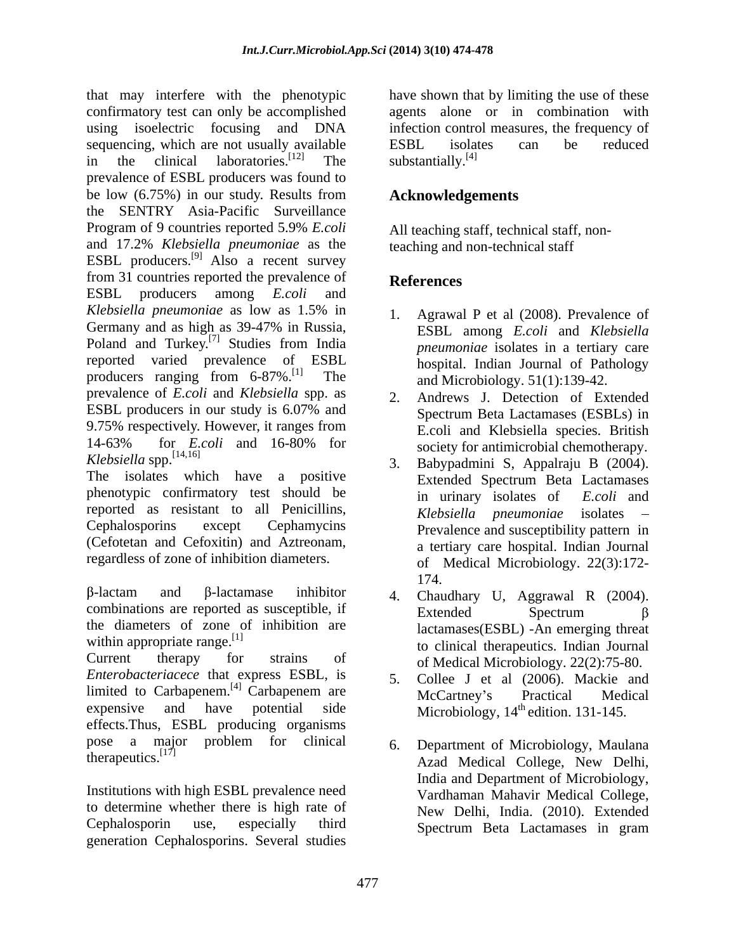that may interfere with the phenotypic have shown that by limiting the use of these confirmatory test can only be accomplished agents alone or in combination with using isoelectric focusing and DNA infection control measures, the frequency of sequencing, which are not usually available  $\text{ESBL}$  isolates can be reduced<br>in the clinical laboratories.<sup>[12]</sup> The substantially.<sup>[4]</sup> in the clinical laboratories.<sup>[12]</sup> The substantially.<sup>[4]</sup> prevalence of ESBL producers was found to be low (6.75%) in our study. Results from the SENTRY Asia-Pacific Surveillance Program of 9 countries reported 5.9% *E.coli*  and 17.2% *Klebsiella pneumoniae* as the ESBL producers.<sup>[9]</sup> Also a recent survey from 31 countries reported the prevalence of **References** ESBL producers among *E.coli* and *Klebsiella pneumoniae* as low as 1.5% in Germany and as high as 39-47% in Russia, Poland and Turkey.<sup>[7]</sup> Studies from India reported varied prevalence of ESBL hospital. Indian Journal of Pathology producers ranging from 6-87%.[1] The prevalence of *E.coli* and *Klebsiella* spp. as ESBL producers in our study is 6.07% and 9.75% respectively. However, it ranges from 14-63% for *E.coli* and 16-80% for *Klebsiella* spp.[14,16] 3. Babypadmini S, Appalraju B (2004).

phenotypic confirmatory test should be  $\overrightarrow{h}$  in urinary isolates of E.coli and reported as resistant to all Penicillins,  $Klebsiella$  pneumoniae isolates  $-$ (Cefotetan and Cefoxitin) and Aztreonam, regardless of zone of inhibition diameters.

 $-\lambda$  -lactam and  $\beta$ -lactamase inhibitor 4. Chaudhary II Aggrawal R (2004). combinations are reported as susceptible, if  $\frac{1}{2}$  Extended Spectrum  $\beta$ the diameters of zone of inhibition are

Current therapy for strains of of Medical Microbiology. 22(2):75-80. *Enterobacteriacece* that express ESBL, is limited to Carbapenem.<sup>[4]</sup> Carbapenem are McCartney's Practical Medical expensive and have potential side Microbiology,  $14<sup>th</sup>$  edition. 131-145. effects.Thus, ESBL producing organisms<br>pose a major problem for clinical pose a major problem for clinical 6. Department of Microbiology Maulana

Institutions with high ESBL prevalence need to determine whether there is high rate of Cephalosporin use, especially third Spectrum Beta Lactamases in gramgeneration Cephalosporins. Several studies

ESBL isolates can be reduced substantially. $^{[4]}$ 

# **Acknowledgements**

All teaching staff, technical staff, nonteaching and non-technical staff

## **References**

- 1. Agrawal P et al (2008). Prevalence of ESBL among *E.coli* and *Klebsiella pneumoniae* isolates in a tertiary care and Microbiology. 51(1):139-42.
- 2. Andrews J. Detection of Extended Spectrum Beta Lactamases (ESBLs) in E.coli and Klebsiella species. British society for antimicrobial chemotherapy.
- The isolates which have a positive Extended Spectrum Beta Lactamases Cephalosporins except Cephamycins Prevalence and susceptibility pattern in in urinary isolates of *E.coli* and *Klebsiella pneumoniae* a tertiary care hospital. Indian Journal of Medical Microbiology. 22(3):172- 174.
- within appropriate range.<sup>[1]</sup> to clinical therapeutics. Indian Journal 4. Chaudhary U, Aggrawal R (2004). Extended Spectrum  $\beta$ lactamases(ESBL) -An emerging threat
	- 5. Collee J et al (2006). Mackie and McCartney's Practical Medical
- therapeutics.<sup>[17]</sup> C. Department of Medical College, New Delhi, 6. Department of Microbiology, Maulana India and Department of Microbiology, Vardhaman Mahavir Medical College, New Delhi, India. (2010). Extended